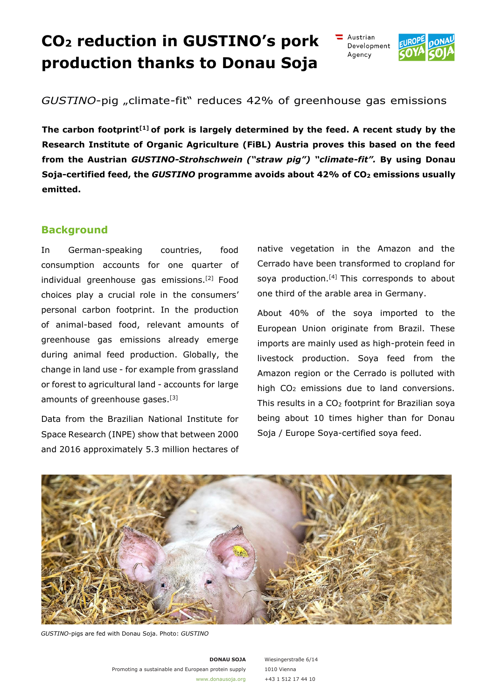# **CO2 reduction in GUSTINO's pork production thanks to Donau Soja**





*GUSTINO-pig* "climate-fit" reduces 42% of greenhouse gas emissions

**The carbon footprint[1] of pork is largely determined by the feed. A recent study by the Research Institute of Organic Agriculture (FiBL) Austria proves this based on the feed from the Austrian** *GUSTINO-Strohschwein ("straw pig") "climate-fit".* **By using Donau Soja-certified feed, the** *GUSTINO* **programme avoids about 42% of CO2 emissions usually emitted.** 

### **Background**

In German-speaking countries, food consumption accounts for one quarter of individual greenhouse gas emissions.[2] Food choices play a crucial role in the consumers' personal carbon footprint. In the production of animal-based food, relevant amounts of greenhouse gas emissions already emerge during animal feed production. Globally, the change in land use - for example from grassland or forest to agricultural land - accounts for large amounts of greenhouse gases.[3]

Data from the Brazilian National Institute for Space Research (INPE) show that between 2000 and 2016 approximately 5.3 million hectares of

native vegetation in the Amazon and the Cerrado have been transformed to cropland for soya production.<sup>[4]</sup> This corresponds to about one third of the arable area in Germany.

About 40% of the soya imported to the European Union originate from Brazil. These imports are mainly used as high-protein feed in livestock production. Soya feed from the Amazon region or the Cerrado is polluted with high CO<sub>2</sub> emissions due to land conversions. This results in a CO<sub>2</sub> footprint for Brazilian soya being about 10 times higher than for Donau Soja / Europe Soya-certified soya feed.



*GUSTINO*-pigs are fed with Donau Soja. Photo: *GUSTINO*

**DONAU SOJA** Promoting a sustainable and European protein supply [www.donausoja.org](http://www.donausoja.org/)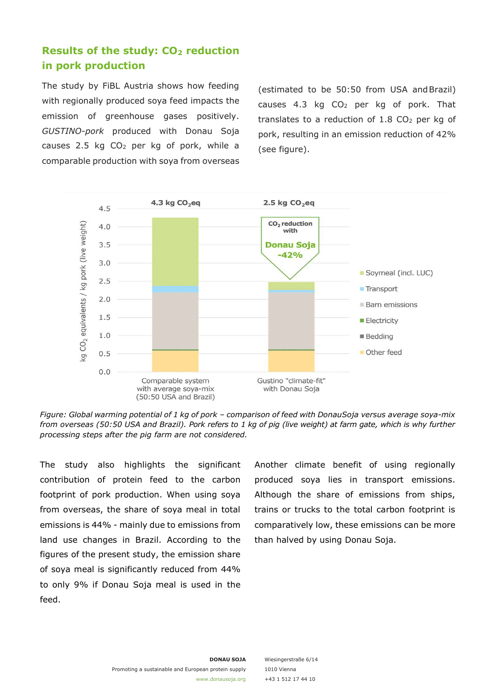# **Results of the study: CO2 reduction in pork production**

The study by FiBL Austria shows how feeding with regionally produced soya feed impacts the emission of greenhouse gases positively. *GUSTINO-pork* produced with Donau Soja causes 2.5 kg CO2 per kg of pork, while a comparable production with soya from overseas

(estimated to be 50:50 from USA and Brazil) causes 4.3 kg CO2 per kg of pork. That translates to a reduction of  $1.8$  CO<sub>2</sub> per kg of pork, resulting in an emission reduction of 42% (see figure).



*Figure: Global warming potential of 1 kg of pork – comparison of feed with Donau Soja versus average soya-mix from overseas (50:50 USA and Brazil). Pork refers to 1 kg of pig (live weight) at farm gate, which is why further processing steps after the pig farm are not considered.* 

The study also highlights the significant contribution of protein feed to the carbon footprint of pork production. When using soya from overseas, the share of soya meal in total emissions is 44% - mainly due to emissions from land use changes in Brazil. According to the figures of the present study, the emission share of soya meal is significantly reduced from 44% to only 9% if Donau Soja meal is used in the feed.

Another climate benefit of using regionally produced soya lies in transport emissions. Although the share of emissions from ships, trains or trucks to the total carbon footprint is comparatively low, these emissions can be more than halved by using Donau Soja.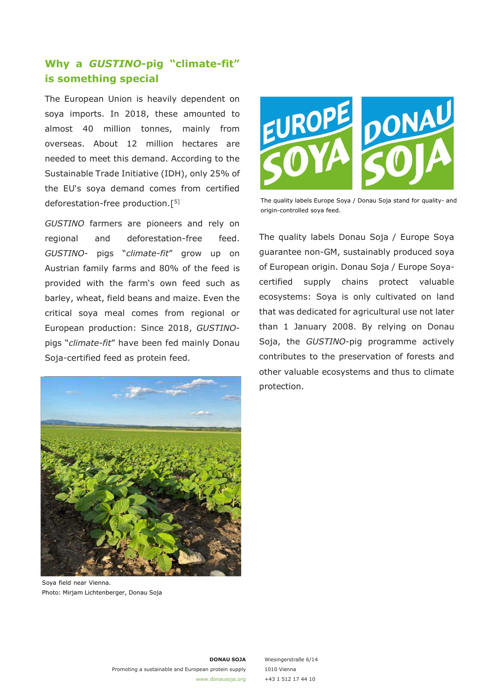## **Why a** *GUSTINO***-pig "climate-fit" is something special**

The European Union is heavily dependent on soya imports. In 2018, these amounted to almost 40 million tonnes, mainly from overseas. About 12 million hectares are needed to meet this demand. According to the Sustainable Trade Initiative (IDH), only 25% of the EU's soya demand comes from certified deforestation-free production.[5]

*GUSTINO* farmers are pioneers and rely on regional and deforestation-free feed. *GUSTINO*- pigs "*climate-fit*" grow up on Austrian family farms and 80% of the feed is provided with the farm's own feed such as barley, wheat, field beans and maize. Even the critical soya meal comes from regional or European production: Since 2018, *GUSTINO*pigs "*climate-fit*" have been fed mainly Donau Soja-certified feed as protein feed.



Soya field near Vienna. Photo: Mirjam Lichtenberger, Donau Soja



The quality labels Europe Soya / Donau Soja stand for quality- and origin-controlled soya feed.

The quality labels Donau Soja / Europe Soya guarantee non-GM, sustainably produced soya of European origin. Donau Soja / Europe Soyacertified supply chains protect valuable ecosystems: Soya is only cultivated on land that was dedicated for agricultural use not later than 1 January 2008. By relying on Donau Soja, the *GUSTINO*-pig programme actively contributes to the preservation of forests and other valuable ecosystems and thus to climate protection.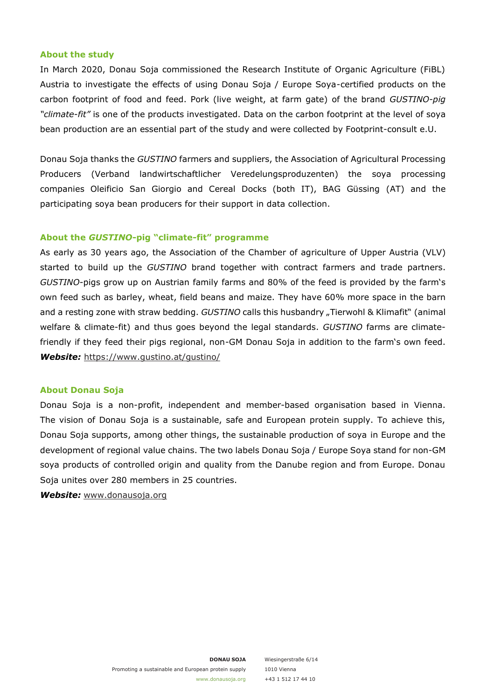#### **About the study**

In March 2020, Donau Soja commissioned the Research Institute of Organic Agriculture (FiBL) Austria to investigate the effects of using Donau Soja / Europe Soya-certified products on the carbon footprint of food and feed. Pork (live weight, at farm gate) of the brand *GUSTINO-pig "climate-fit"* is one of the products investigated. Data on the carbon footprint at the level of soya bean production are an essential part of the study and were collected by Footprint-consult e.U.

Donau Soja thanks the *GUSTINO* farmers and suppliers, the Association of Agricultural Processing Producers (Verband landwirtschaftlicher Veredelungsproduzenten) the soya processing companies Oleificio San Giorgio and Cereal Docks (both IT), BAG Güssing (AT) and the participating soya bean producers for their support in data collection.

#### **About the** *GUSTINO***-pig "climate-fit" programme**

As early as 30 years ago, the Association of the Chamber of agriculture of Upper Austria (VLV) started to build up the *GUSTINO* brand together with contract farmers and trade partners. *GUSTINO*-pigs grow up on Austrian family farms and 80% of the feed is provided by the farm's own feed such as barley, wheat, field beans and maize. They have 60% more space in the barn and a resting zone with straw bedding. *GUSTINO* calls this husbandry "Tierwohl & Klimafit" (animal welfare & climate-fit) and thus goes beyond the legal standards. *GUSTINO* farms are climatefriendly if they feed their pigs regional, non-GM Donau Soja in addition to the farm's own feed. *Website:* [https://www.](http://www.gustino.at/gustino/)gustin[o.at/gustino/](http://www.gustino.at/gustino/)

#### **About Donau Soja**

Donau Soja is a non-profit, independent and member-based organisation based in Vienna. The vision of Donau Soja is a sustainable, safe and European protein supply. To achieve this, Donau Soja supports, among other things, the sustainable production of soya in Europe and the development of regional value chains. The two labels Donau Soja / Europe Soya stand for non-GM soya products of controlled origin and quality from the Danube region and from Europe. Donau Soja unites over 280 members in 25 countries.

*Website:* [www.donausoja.org](http://www.donausoja.org/)